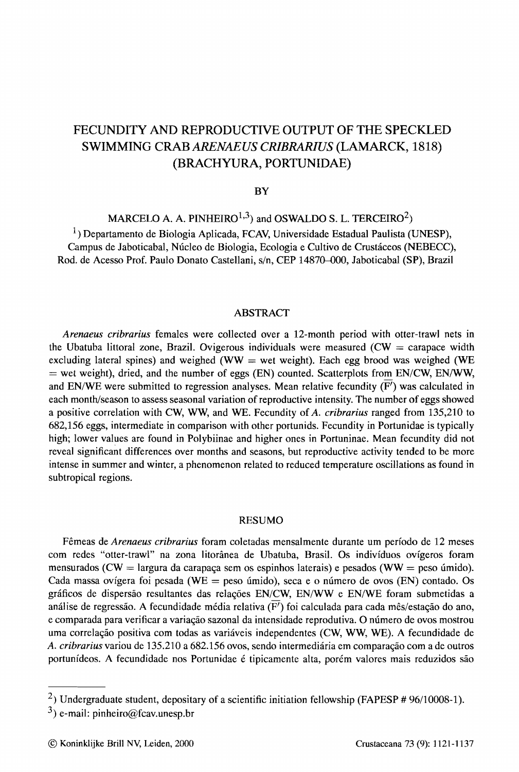# FECUNDITY AND REPRODUCTIVE OUTPUT OF THE SPECKLED SWIMMING CRAB *ARENAEUS CRIBRARIUS* (LAMARCK, 1818) (BRACHYURA, PORTUNIDAE)

#### **BY**

MARCELO A. A. PINHEIRO<sup>1,3</sup>) and OSWALDO S. L. TERCEIRO<sup>2</sup>)

 $1$ ) Departamento de Biologia Aplicada, FCAV, Universidade Estadual Paulista (UNESP), Campus de laboticabal, Nucleo de Biologia, Ecologia e Cultivo de Crustaceos (NEBECC), Rod. de Acesso Prof. Paulo Donato Castellani, s/n, CEP 14870-000, Jaboticabal (SP), Brazil

#### ABSTRACT

*Arenaeus cribrarius* females were collected over a 12-month period with otter-trawl nets in the Ubatuba littoral zone, Brazil. Ovigerous individuals were measured  $(CW = \text{carspace width})$ excluding lateral spines) and weighed (WW  $=$  wet weight). Each egg brood was weighed (WE  $=$  wet weight), dried, and the number of eggs (EN) counted. Scatterplots from EN/CW, EN/WW, and EN/WE were submitted to regression analyses. Mean relative fecundity  $(\overline{F'})$  was calculated in each month/season to assess seasonal variation of reproductive intensity. The number of eggs showed a positive correlation with CW, WW, and WE. Fecundity of*A. cribrarius* ranged from 135,210 to 682,156 eggs, intermediate in comparison with other portunids. Fecundity in Portunidae is typically high; lower values are found in Polybiinae and higher ones in Portuninae. Mean fecundity did not reveal significant differences over months and seasons, but reproductive activity tended to be more intense in summer and winter, a phenomenon related to reduced temperature oscillations as found in subtropical regions.

#### RESUMO

Femeas de *Arenaeus cribrarius* foram coletadas mensalmente durante urn perfodo de 12 meses com redes "otter-trawl" na zona litoranea de Ubatuba, Brasil. Os individuos ovfgeros foram mensurados (CW = largura da carapaça sem os espinhos laterais) e pesados (WW = peso úmido). Cada massa ovígera foi pesada (WE = peso úmido), seca e o número de ovos (EN) contado. Os gráficos de dispersão resultantes das relações EN/CW, EN/WW e EN/WE foram submetidas a análise de regressão. A fecundidade média relativa ( $\overline{F}$ ) foi calculada para cada mês/estação do ano, e comparada para verificar a variação sazonal da intensidade reprodutiva. O número de ovos mostrou uma correlação positiva com todas as variáveis independentes (CW, WW, WE). A fecundidade de A. *cribrarius* variou de 135,210 a 682.156 ovos, sendo intermediária em comparação com a de outros portunídeos. A fecundidade nos Portunidae é tipicamente alta, porém valores mais reduzidos são

<sup>&</sup>lt;sup>2</sup>) Undergraduate student, depositary of a scientific initiation fellowship (FAPESP # 96/10008-1).

 $3$ ) e-mail: pinheiro@fcav.unesp.br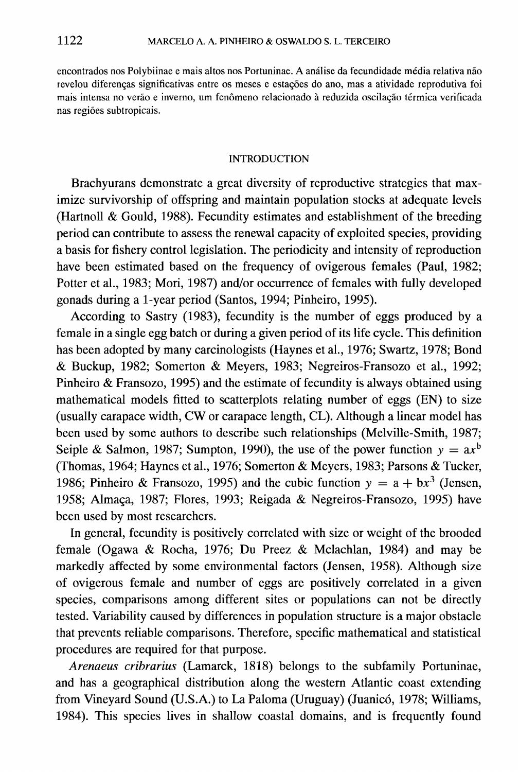encontrados nos Polybiinae e mais altos nos Portuninae. A analise da fecundidade media relativa nao revelou diferenças significativas entre os meses e estações do ano, mas a atividade reprodutiva foi mais intensa no verão e inverno, um fenômeno relacionado à reduzida oscilação térmica verificada nas regi6es subtropicais.

### INTRODUCTION

Brachyurans demonstrate a great diversity of reproductive strategies that maximize survivorship of offspring and maintain population stocks at adequate levels (Hartnoll & Gould, 1988). Fecundity estimates and establishment of the breeding period can contribute to assess the renewal capacity of exploited species, providing a basis for fishery control legislation. The periodicity and intensity of reproduction have been estimated based on the frequency of ovigerous females (Paul, 1982; Potter et al., 1983; Mori, 1987) and/or occurrence of females with fully developed gonads during a I-year period (Santos, 1994; Pinheiro, 1995).

According to Sastry (1983), fecundity is the number of eggs produced by a female in a single egg batch or during a given period of its life cycle. This definition has been adopted by many carcinologists (Haynes et aI., 1976; Swartz, 1978; Bond & Buckup, 1982; Somerton & Meyers, 1983; Negreiros-Fransozo et aI., 1992; Pinheiro & Fransozo, 1995) and the estimate of fecundity is always obtained using mathematical models fitted to scatterplots relating number of eggs (EN) to size (usually carapace width, CW or carapace length, CL). Although a linear model has been used by some authors to describe such relationships (Melville-Smith, 1987; Seiple & Salmon, 1987; Sumpton, 1990), the use of the power function  $y = ax^b$ (Thomas, 1964; Haynes et aI., 1976; Somerton & Meyers, 1983; Parsons & Tucker, 1986; Pinheiro & Fransozo, 1995) and the cubic function  $y = a + bx^3$  (Jensen, 1958; Almaça, 1987; Flores, 1993; Reigada & Negreiros-Fransozo, 1995) have been used by most researchers.

In general, fecundity is positively correlated with size or weight of the brooded female (Ogawa & Rocha, 1976; Du Preez & Mclachlan, 1984) and may be markedly affected by some environmental factors (Jensen, 1958). Although size of ovigerous female and number of eggs are positively correlated in a given species, comparisons among different sites or populations can not be directly tested. Variability caused by differences in population structure is a major obstacle that prevents reliable comparisons. Therefore, specific mathematical and statistical procedures are required for that purpose.

*Arenaeus cribrarius* (Lamarck, 1818) belongs to the subfamily Portuninae, and has a geographical distribution along the western Atlantic coast extending from Vineyard Sound (U.S.A.) to La Paloma (Uruguay) (Juanicó, 1978; Williams, 1984). This species lives in shallow coastal domains, and is frequently found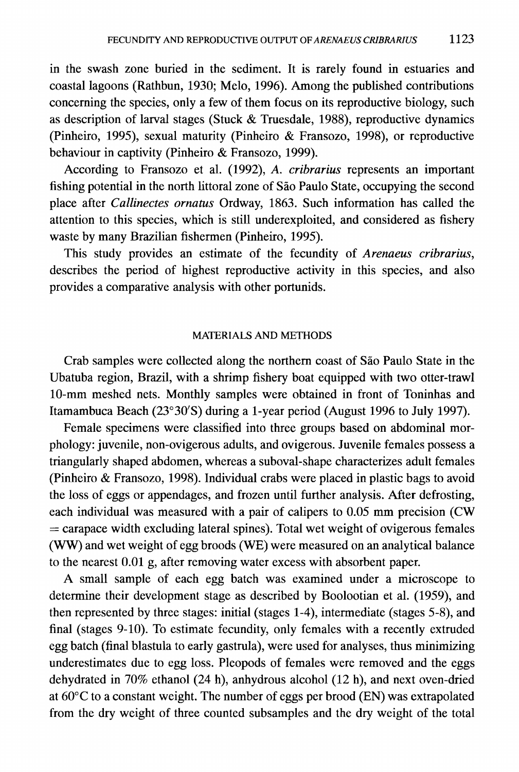in the swash zone buried in the sediment. It is rarely found in estuaries and coastal lagoons (Rathbun, 1930; Melo, 1996). Among the published contributions concerning the species, only a few of them focus on its reproductive biology, such as description of larval stages (Stuck & Truesdale, 1988), reproductive dynamics (Pinheiro, 1995), sexual maturity (Pinheiro & Fransozo, 1998), or reproductive behaviour in captivity (Pinheiro & Fransozo, 1999).

According to Fransozo et al. (1992), *A. cribrarius* represents an important fishing potential in the north littoral zone of Sao Paulo State, occupying the second place after *Callinectes ornatus* Ordway, 1863. Such information has called the attention to this species, which is still underexploited, and considered as fishery waste by many Brazilian fishermen (Pinheiro, 1995).

This study provides an estimate of the fecundity of *Arenaeus cribrarius,* describes the period of highest reproductive activity in this species, and also provides a comparative analysis with other portunids.

## MATERIALS AND METHODS

Crab samples were collected along the northern coast of Sao Paulo State in the Ubatuba region, Brazil, with a shrimp fishery boat equipped with two otter-trawl IO-mm meshed nets. Monthly samples were obtained in front of Toninhas and Itamambuca Beach (23°30'S) during a I-year period (August 1996 to July 1997).

Female specimens were classified into three groups based on abdominal morphology: juvenile, non-ovigerous adults, and ovigerous. Juvenile females possess a triangularly shaped abdomen, whereas a suboval-shape characterizes adult females (Pinheiro & Fransozo, 1998). Individual crabs were placed in plastic bags to avoid the loss of eggs or appendages, and frozen until further analysis. After defrosting, each individual was measured with a pair of calipers to 0.05 mm precision (CW  $=$  carapace width excluding lateral spines). Total wet weight of ovigerous females (WW) and wet weight of egg broods (WE) were measured on an analytical balance to the nearest 0.01 g, after removing water excess with absorbent paper.

A small sample of each egg batch was examined under a microscope to detennine their development stage as described by Boolootian et al. (1959), and then represented by three stages: initial (stages 1-4), intermediate (stages 5-8), and final (stages 9-10). To estimate fecundity, only females with a recently extruded egg batch (final blastula to early gastrula), were used for analyses, thus minimizing underestimates due to egg loss. Pleopods of females were removed and the eggs dehydrated in 70% ethanol (24 h), anhydrous alcohol (12 h), and next oven-dried at 60°C to a constant weight. The number of eggs per brood (EN) was extrapolated from the dry weight of three counted subsamples and the dry weight of the total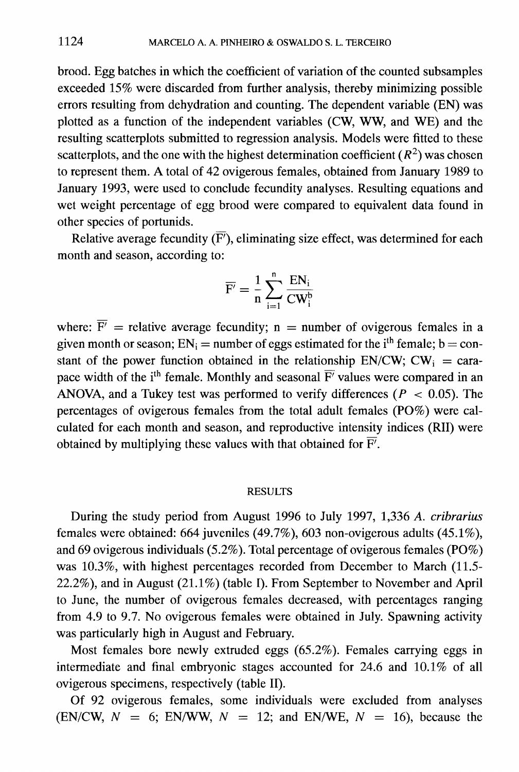brood. Egg batches in which the coefficient of variation of the counted subsamples exceeded 15% were discarded from further analysis, thereby minimizing possible errors resulting from dehydration and counting. The dependent variable (EN) was plotted as a function of the independent variables (CW, WW, and WE) and the resulting scatterplots submitted to regression analysis. Models were fitted to these scatterplots, and the one with the highest determination coefficient  $(R^2)$  was chosen to represent them. A total of 42 ovigerous females, obtained from January 1989 to January 1993, were used to conclude fecundity analyses. Resulting equations and wet weight percentage of egg brood were compared to equivalent data found in other species of portunids.

Relative average fecundity  $(\overline{F'})$ , eliminating size effect, was determined for each month and season, according to:

$$
\overline{F'} = \frac{1}{n}\sum_{i=1}^n \frac{EN_i}{CW_i^b}
$$

where:  $\overline{F'}$  = relative average fecundity; n = number of ovigerous females in a given month or season;  $EN_i =$  number of eggs estimated for the i<sup>th</sup> female; b = constant of the power function obtained in the relationship EN/CW; CW<sub>i</sub> = carapace width of the i<sup>th</sup> female. Monthly and seasonal  $\overline{F}$  values were compared in an ANOVA, and a Tukey test was performed to verify differences ( $P < 0.05$ ). The percentages of ovigerous females from the total adult females (PO%) were calculated for each month and season, and reproductive intensity indices (RII) were obtained by multiplying these values with that obtained for  $\overline{F}$ .

### RESULTS

During the study period from August 1996 to July 1997, 1,336 *A. cribrarius* females were obtained: 664 juveniles (49.7%), 603 non-ovigerous adults (45.1%), and 69 ovigerous individuals (5.2%). Total percentage of ovigerous females (PO%) was 10.3%, with highest percentages recorded from December to March (11.5- 22.2%), and in August (21.1%) (table I). From September to November and April to June, the number of ovigerous females decreased, with percentages ranging from 4.9 to 9.7. No ovigerous females were obtained in July. Spawning activity was particularly high in August and February.

Most females bore newly extruded eggs (65.2%). Females carrying eggs in intermediate and final embryonic stages accounted for 24.6 and 10.1% of all ovigerous specimens, respectively (table II).

Of 92 ovigerous females, some individuals were excluded from analyses  $(EN/CW, N = 6; EN/WW, N = 12; and EN/WE, N = 16)$ , because the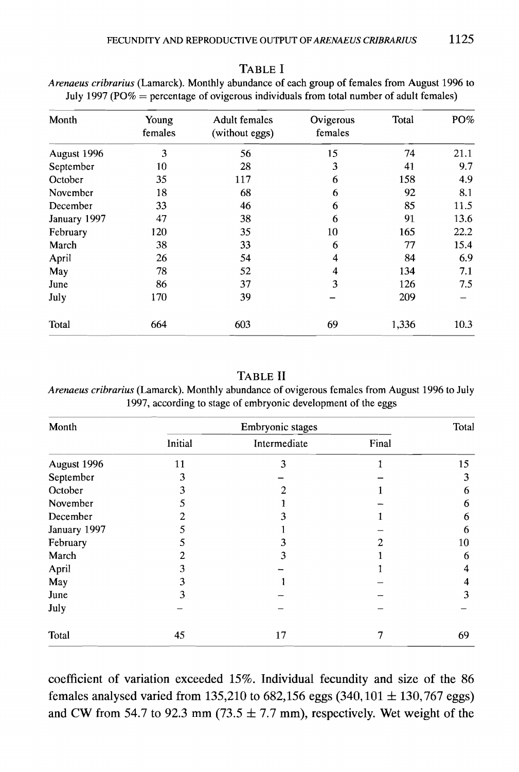| Month        | Young<br>females | <b>Adult females</b><br>(without eggs) | Ovigerous<br>females | Total | PO%  |
|--------------|------------------|----------------------------------------|----------------------|-------|------|
| August 1996  | 3                | 56                                     | 15                   | 74    | 21.1 |
| September    | 10               | 28                                     | 3                    | 41    | 9.7  |
| October      | 35               | 117                                    | 6                    | 158   | 4.9  |
| November     | 18               | 68                                     | 6                    | 92    | 8.1  |
| December     | 33               | 46                                     | 6                    | 85    | 11.5 |
| January 1997 | 47               | 38                                     | 6                    | 91    | 13.6 |
| February     | 120              | 35                                     | 10                   | 165   | 22.2 |
| March        | 38               | 33                                     | 6                    | 77    | 15.4 |
| April        | 26               | 54                                     | 4                    | 84    | 6.9  |
| May          | 78               | 52                                     | 4                    | 134   | 7.1  |
| June         | 86               | 37                                     | 3                    | 126   | 7.5  |
| July         | 170              | 39                                     |                      | 209   |      |
| Total        | 664              | 603                                    | 69                   | 1,336 | 10.3 |

*Arenaeus cribrarius* (Lamarck). Monthly abundance of each group of females from August 1996 to July 1997 (PO% = percentage of ovigerous individuals from total number of adult females)

## TABLE **II**

*Arenaeus cribrarius* (Lamarck). Monthly abundance of ovigerous females from August 1996 to July 1997, according to stage of embryonic development of the eggs

| Month        |         | Embryonic stages |       | Total |
|--------------|---------|------------------|-------|-------|
|              | Initial | Intermediate     | Final |       |
| August 1996  | 11      | 3                | 1     | 15    |
| September    |         |                  |       | 3     |
| October      |         | 2                |       | 6     |
| November     |         |                  |       | 6     |
| December     |         |                  |       | 6     |
| January 1997 |         |                  |       | 6     |
| February     |         |                  |       | 10    |
| March        |         | 3                |       | 6     |
| April        | 3       |                  |       | 4     |
| May          | 3       |                  |       | 4     |
| June         | 3       |                  |       | 3     |
| July         |         |                  |       |       |
| Total        | 45      | 17               | 7     | 69    |

coefficient of variation exceeded 15%. Individual fecundity and size of the 86 females analysed varied from 135,210 to 682,156 eggs  $(340, 101 \pm 130, 767$  eggs) and CW from 54.7 to 92.3 mm (73.5  $\pm$  7.7 mm), respectively. Wet weight of the

### TABLE I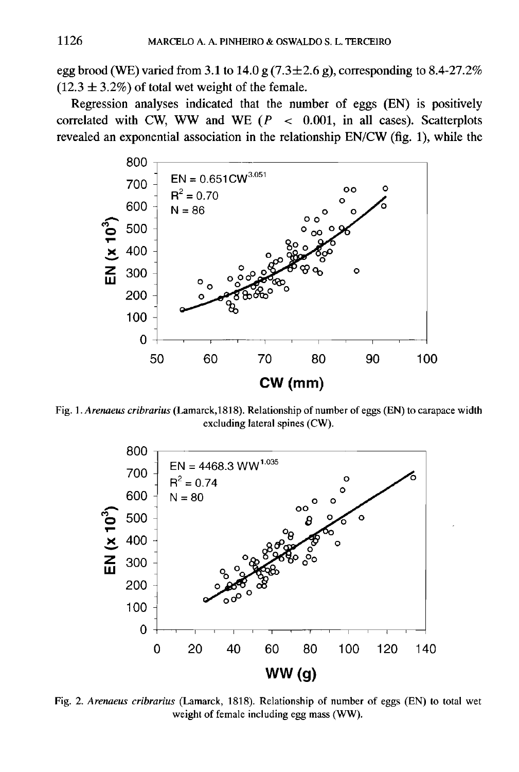egg brood (WE) varied from 3.1 to 14.0 g  $(7.3 \pm 2.6 \text{ g})$ , corresponding to 8.4-27.2%  $(12.3 \pm 3.2\%)$  of total wet weight of the female.

Regression analyses indicated that the number of eggs (EN) is positively correlated with CW, WW and WE  $(P < 0.001$ , in all cases). Scatterplots revealed an exponential association in the relationship EN/CW (fig. 1), while the



Fig. 1. *Arenaeus cribrarius* (Lamarck,1818). Relationship of number of eggs (EN) to carapace width excluding lateral spines (CW).



Fig. 2. *Arenaeus cribrarius* (Lamarck, 1818). Relationship of number of eggs (EN) to total wet weight of female including egg mass (WW).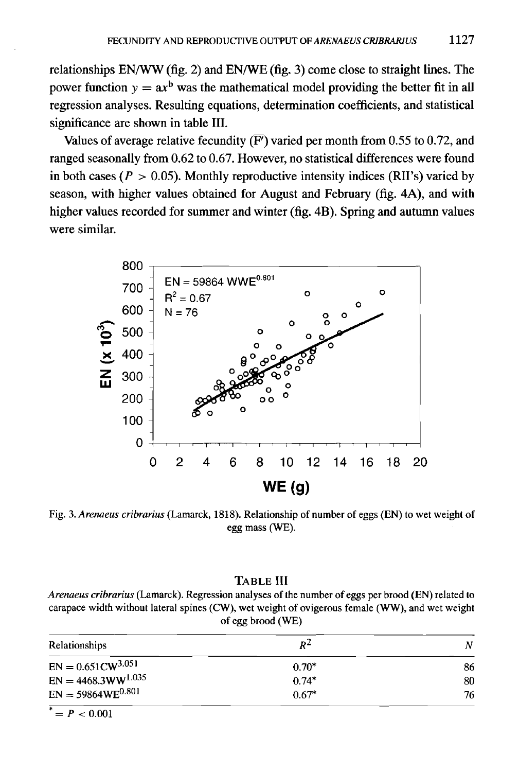relationships EN/WW (fig. 2) and EN/WE (fig. 3) come close to straight lines. The power function  $y = ax^b$  was the mathematical model providing the better fit in all regression analyses. Resulting equations, determination coefficients, and statistical significance are shown in table III.

Values of average relative fecundity  $(\overline{F})$  varied per month from 0.55 to 0.72, and ranged seasonally from 0.62 to 0.67. However, no statistical differences were found in both cases  $(P > 0.05)$ . Monthly reproductive intensity indices (RII's) varied by season, with higher values obtained for August and February (fig. 4A), and with higher values recorded for summer and winter (fig. 4B). Spring and autumn values were similar.



Fig. 3. *Arenaeus cribrarius* (Lamarck, 1818). Relationship of number of eggs (EN) to wet weight of egg mass (WE).

# TABLE III

*Arenaeus cribrarius* (Lamarck). Regression analyses of the number of eggs per brood (EN) related to carapace width without lateral spines (CW), wet weight of ovigerous female (WW), and wet weight of egg brood (WE)

| Relationships           | $R^2$   | N  |
|-------------------------|---------|----|
| $EN = 0.651CW^{3.051}$  | $0.70*$ | 86 |
| $EN = 4468.3WW^{1.035}$ | $0.74*$ | 80 |
| $EN = 59864WE^{0.801}$  | $0.67*$ | 76 |

 $^* = P < 0.001$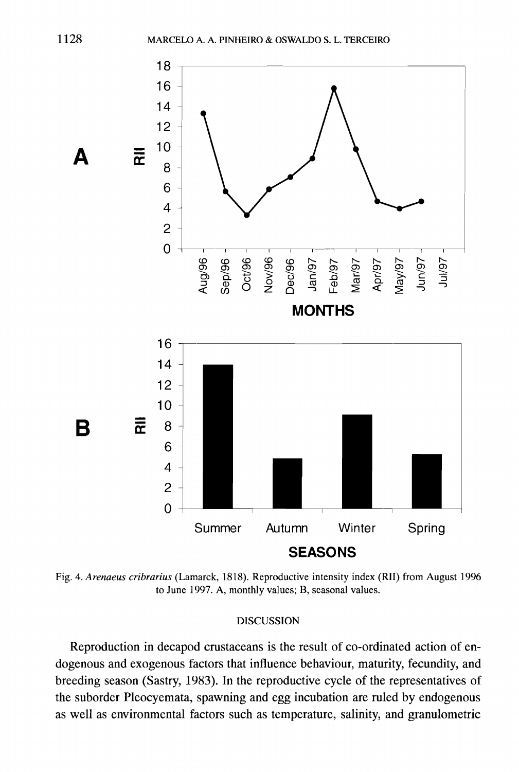

Fig. 4. *Arenaeus cribrarius* (Lamarck, 1818). Reproductive intensity index (RII) from August 1996 to June 1997. A, monthly values; B, seasonal values.

#### DISCUSSION

Reproduction in decapod crustaceans is the result of co-ordinated action of endogenous and exogenous factors that influence behaviour, maturity, fecundity, and breeding season (Sastry, 1983). In the reproductive cycle of the representatives of the suborder Pleocyemata, spawning and egg incubation are ruled by endogenous as well as environmental factors such as temperature, salinity, and granulometric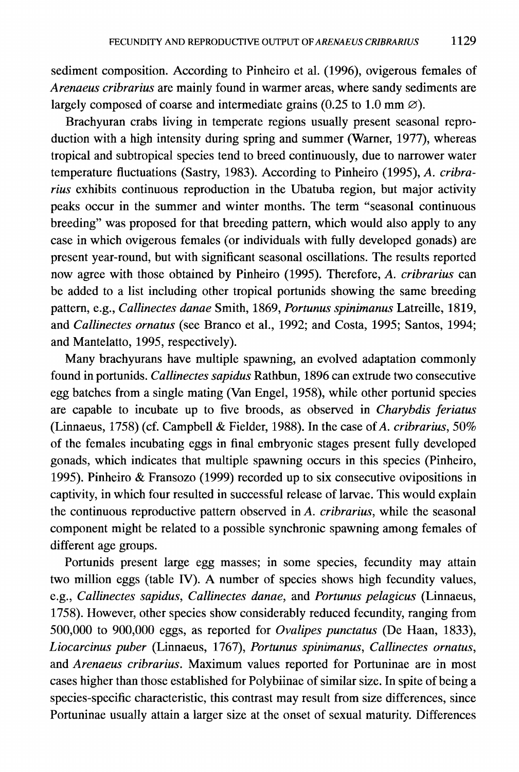sediment composition. According to Pinheiro et al. (1996), ovigerous females of *Arenaeus cribrarius* are mainly found in warmer areas, where sandy sediments are largely composed of coarse and intermediate grains (0.25 to 1.0 mm  $\varnothing$ ).

Brachyuran crabs living in temperate regions usually present seasonal reproduction with a high intensity during spring and summer (Warner, 1977), whereas tropical and subtropical species tend to breed continuously, due to narrower water temperature fluctuations (Sastry, 1983). According to Pinheiro (1995), *A. cribrarius* exhibits continuous reproduction in the Ubatuba region, but major activity peaks occur in the summer and winter months. The term "seasonal continuous breeding" was proposed for that breeding pattern, which would also apply to any case in which ovigerous females (or individuals with fully developed gonads) are present year-round, but with significant seasonal oscillations. The results reported now agree with those obtained by Pinheiro (1995). Therefore, *A. cribrarius* can be added to a list including other tropical portunids showing the same breeding pattern, e.g., *Callinectes danae* Smith, 1869, *Portunus spinimanus* Latreille, 1819, and *Callinectes ornatus* (see Branco et aI., 1992; and Costa, 1995; Santos, 1994; and Mantelatto, 1995, respectively).

Many brachyurans have multiple spawning, an evolved adaptation commonly found in portunids. *Callinectes sapidus* Rathbun, 1896 can extrude two consecutive egg batches from a single mating (Van Engel, 1958), while other portunid species are capable to incubate up to five broods, as observed in *Charybdis feriatus* (Linnaeus, 1758) (cf. Campbell & Fielder, 1988). In the case of*A. cribrarius, 50%* of the females incubating eggs in final embryonic stages present fully developed gonads, which indicates that multiple spawning occurs in this species (Pinheiro, 1995). Pinheiro & Fransozo (1999) recorded up to six consecutive ovipositions in captivity, in which four resulted in successful release of larvae. This would explain the continuous reproductive pattern observed in *A. cribrarius,* while the seasonal component might be related to a possible synchronic spawning among females of different age groups.

Portunids present large egg masses; in some species, fecundity may attain two million eggs (table IV). A number of species shows high fecundity values, e.g., *Callinectes sapidus, Callinectes danae,* and *Portunus pelagicus* (Linnaeus, 1758). However, other species show considerably reduced fecundity, ranging from 500,000 to 900,000 eggs, as reported for *Ovalipes punctatus* (De Haan, 1833), *Liocarcinus puber* (Linnaeus, 1767), *Portunus spinimanus, Callinectes ornatus,* and *Arenaeus cribrarius.* Maximum values reported for Portuninae are in most cases higher than those established for Polybiinae of similar size. In spite of being a species-specific characteristic, this contrast may result from size differences, since Portuninae usually attain a larger size at the onset of sexual maturity. Differences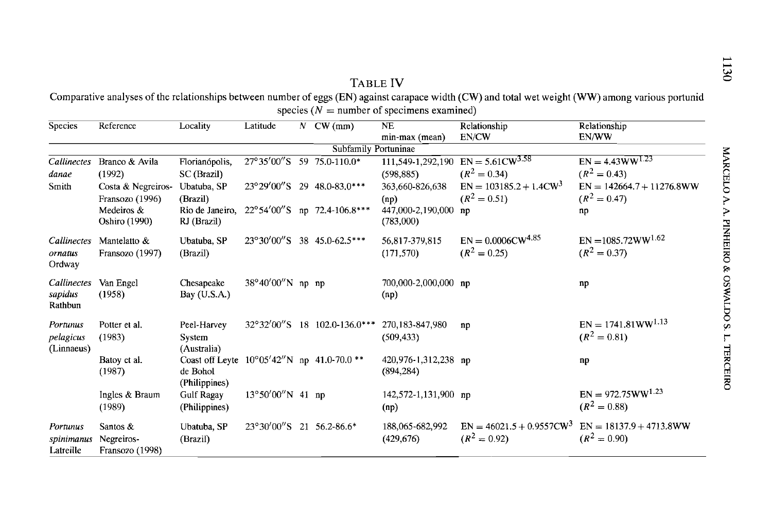# TABLE **IV**

Comparative analyses of the relationships between number of eggs (EN) against carapace width (CW) and total wet weight (WW) among various portunid species ( $N =$  number of specimens examined)

| Species                             | Reference                                   | Locality                                     | Latitude                    | $\mathcal{N}$ | CW(mm)                                | NE<br>min-max (mean)               | Relationship<br>EN/CW                                             | Relationship<br>EN/WW                         |  |
|-------------------------------------|---------------------------------------------|----------------------------------------------|-----------------------------|---------------|---------------------------------------|------------------------------------|-------------------------------------------------------------------|-----------------------------------------------|--|
| Subfamily Portuninae                |                                             |                                              |                             |               |                                       |                                    |                                                                   |                                               |  |
| Callinectes<br>danae                | Branco & Avila<br>(1992)                    | Florianópolis,<br>SC (Brazil)                |                             |               | 27°35'00"S 59 75.0-110.0*             | (598, 885)                         | $111,549-1,292,190$ EN = 5.61CW <sup>3.58</sup><br>$(R^2 = 0.34)$ | $EN = 4.43WW^{1.23}$<br>$(R^2 = 0.43)$        |  |
| Smith                               | Costa & Negreiros-<br>Fransozo (1996)       | Ubatuba, SP<br>(Brazil)                      |                             |               | 23°29'00"S 29 48.0-83.0***            | 363,660-826,638<br>(np)            | $EN = 103185.2 + 1.4CW3$<br>$(R^2 = 0.51)$                        | $EN = 142664.7 + 11276.8WW$<br>$(R^2 = 0.47)$ |  |
|                                     | Medeiros &<br>Oshiro (1990)                 | Rio de Janeiro,<br>RJ (Brazil)               |                             |               | 22°54'00"S np 72.4-106.8***           | 447,000-2,190,000 np<br>(783,000)  |                                                                   | np                                            |  |
| Callinectes<br>ornatus<br>Ordway    | Mantelatto &<br>Fransozo (1997)             | Ubatuba, SP<br>(Brazil)                      |                             |               | 23°30'00"S 38 45.0-62.5***            | 56,817-379,815<br>(171, 570)       | $EN = 0.0006CW^{4.85}$<br>$(R^2 = 0.25)$                          | $EN = 1085.72WW^{1.62}$<br>$(R^2 = 0.37)$     |  |
| Callinectes<br>sapidus<br>Rathbun   | Van Engel<br>(1958)                         | Chesapeake<br>Bay (U.S.A.)                   | 38°40'00"N np np            |               |                                       | 700,000-2,000,000 np<br>(np)       |                                                                   | np                                            |  |
| Portunus<br>pelagicus<br>(Linnaeus) | Potter et al.<br>(1983)                     | Peel-Harvey<br>System<br>(Australia)         |                             |               | 32°32′00″S 18 102.0-136.0***          | 270, 183-847, 980<br>(509, 433)    | np                                                                | $EN = 1741.81WW^{1.13}$<br>$(R^2 = 0.81)$     |  |
|                                     | Batoy et al.<br>(1987)                      | Coast off Leyte<br>de Bohol<br>(Philippines) |                             |               | $10^{\circ}05'42''$ N np 41.0-70.0 ** | 420,976-1,312,238 np<br>(894, 284) |                                                                   | np                                            |  |
|                                     | Ingles & Braum<br>(1989)                    | <b>Gulf Ragay</b><br>(Philippines)           | $13^{\circ}50'00''$ N 41 np |               |                                       | 142,572-1,131,900 np<br>(np)       |                                                                   | $EN = 972.75WW^{1.23}$<br>$(R^2 = 0.88)$      |  |
| Portunus<br>spinimanus<br>Latreille | Santos $&$<br>Negreiros-<br>Fransozo (1998) | Ubatuba, SP<br>(Brazil)                      | 23°30'00"S 21 56.2-86.6*    |               |                                       | 188,065-682,992<br>(429, 676)      | $EN = 46021.5 + 0.9557CW^3$<br>$(R^2 = 0.92)$                     | $EN = 18137.9 + 4713.8WW$<br>$(R^2 = 0.90)$   |  |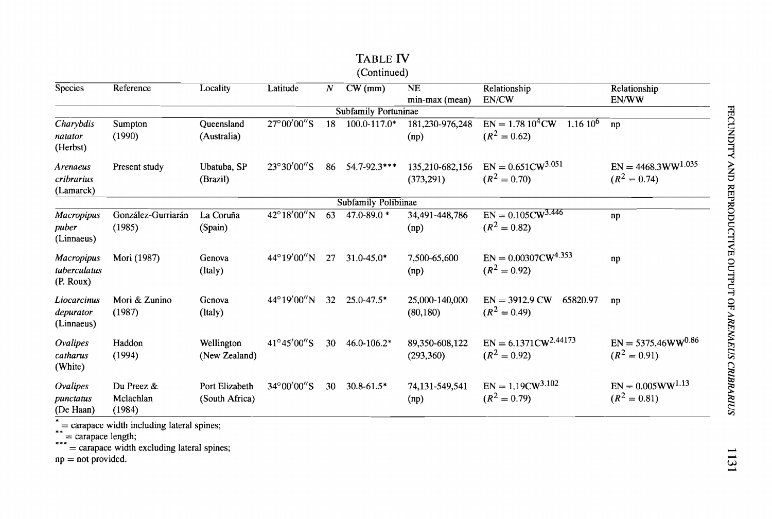|                                        |                                   |                                  |                       |    | (Continued)          |                               |                                                      |                                           |
|----------------------------------------|-----------------------------------|----------------------------------|-----------------------|----|----------------------|-------------------------------|------------------------------------------------------|-------------------------------------------|
| <b>Species</b>                         | Reference                         | Locality                         | Latitude              | Ν  | CW(mm)               | NE                            | Relationship                                         | Relationship                              |
|                                        |                                   |                                  |                       |    |                      | min-max (mean)                | EN/CW                                                | EN/WW                                     |
|                                        |                                   |                                  |                       |    | Subfamily Portuninae |                               |                                                      |                                           |
| Charybdis<br>natator<br>(Herbst)       | Sumpton<br>(1990)                 | Queensland<br>(Australia)        | 27°00'00"S            | 18 | 100.0-117.0*         | 181,230-976,248<br>(np)       | $EN = 1.7810^{4}$ CW<br>$1.1610^6$<br>$(R^2 = 0.62)$ | np                                        |
| Arenaeus<br>cribrarius<br>(Lamarck)    | Present study                     | Ubatuba, SP<br>(Brazil)          | $23^{\circ}30'00''$ S | 86 | 54.7-92.3***         | 135,210-682,156<br>(373, 291) | $EN = 0.651CW^{3.051}$<br>$(R^2 = 0.70)$             | $EN = 4468.3WW^{1.035}$<br>$(R^2 = 0.74)$ |
|                                        |                                   |                                  |                       |    | Subfamily Polibiinae |                               |                                                      |                                           |
| Macropipus<br>puber<br>(Linnaeus)      | González-Gurriarán<br>(1985)      | La Coruña<br>(Spain)             | 42°18′00″N            | 63 | 47.0-89.0*           | 34,491-448,786<br>(np)        | $EN = 0.105CW^{3.446}$<br>$(R^2 = 0.82)$             | np                                        |
| Macropipus<br>tuberculatus<br>(P. Row) | Mori (1987)                       | Genova<br>(Italy)                | 44°19'00"N            | 27 | $31.0 - 45.0*$       | 7,500-65,600<br>(np)          | $EN = 0.00307 CW^{4.353}$<br>$(R^2 = 0.92)$          | np                                        |
| Liocarcinus<br>depurator<br>(Linnaeus) | Mori & Zunino<br>(1987)           | Genova<br>(Italy)                | $44^{\circ}19'00''N$  | 32 | $25.0 - 47.5*$       | 25,000-140,000<br>(80, 180)   | $EN = 3912.9 CW$<br>65820.97<br>$(R^2 = 0.49)$       | np                                        |
| Ovalipes<br>catharus<br>(White)        | Haddon<br>(1994)                  | Wellington<br>(New Zealand)      | 41°45'00"S            | 30 | 46.0-106.2*          | 89,350-608,122<br>(293,360)   | $EN = 6.1371CW^{2.44173}$<br>$(R^2 = 0.92)$          | $EN = 5375.46WW^{0.86}$<br>$(R^2 = 0.91)$ |
| Ovalipes<br>punctatus<br>(De Haan)     | Du Preez &<br>Mclachlan<br>(1984) | Port Elizabeth<br>(South Africa) | 34°00'00"S            | 30 | $30.8 - 61.5*$       | 74,131-549,541<br>(np)        | $EN = 1.19CW^{3.102}$<br>$(R^2 = 0.79)$              | $EN = 0.005WW^{1.13}$<br>$(R^2 = 0.81)$   |

TABLE IV

 $\tilde{f}$  = carapace width including lateral spines;

 $\sum_{n=1}^{80}$  = carapace length;

= carapace width excluding lateral spines;

 $np = not provided.$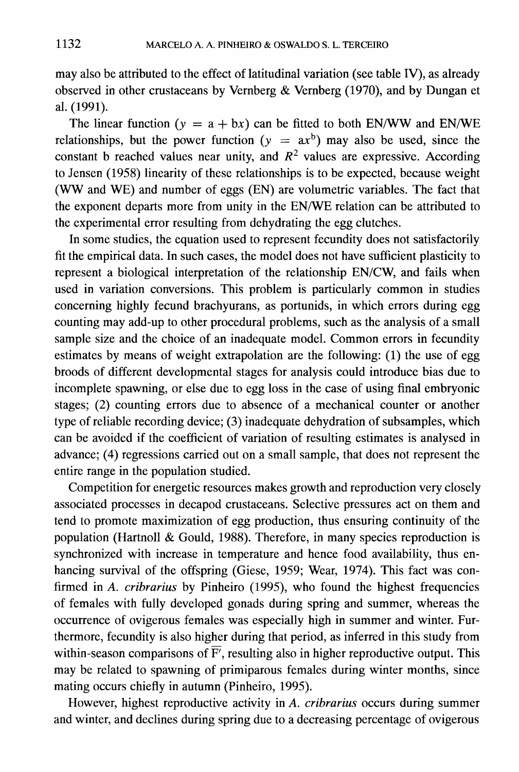may also be attributed to the effect of latitudinal variation (see table IV), as already observed in other crustaceans by Vernberg  $&$  Vernberg (1970), and by Dungan et a1. (1991).

The linear function  $(y = a + bx)$  can be fitted to both EN/WW and EN/WE relationships, but the power function  $(y = ax^b)$  may also be used, since the constant b reached values near unity, and  $R^2$  values are expressive. According to Jensen (1958) linearity of these relationships is to be expected, because weight (WW and WE) and number of eggs (EN) are volumetric variables. The fact that the exponent departs more from unity in the EN/WE relation can be attributed to the experimental error resulting from dehydrating the egg clutches.

In some studies, the equation used to represent fecundity does not satisfactorily fit the empirical data. In such cases, the model does not have sufficient plasticity to represent a biological interpretation of the relationship EN/CW, and fails when used in variation conversions. This problem is particularly common in studies concerning highly fecund brachyurans, as portunids, in which errors during egg counting may add-up to other procedural problems, such as the analysis of a small sample size and the choice of an inadequate model. Common errors in fecundity estimates by means of weight extrapolation are the following: (1) the use of egg broods of different developmental stages for analysis could introduce bias due to incomplete spawning, or else due to egg loss in the case of using final embryonic stages; (2) counting errors due to absence of a mechanical counter or another type of reliable recording device;  $(3)$  inadequate dehydration of subsamples, which can be avoided if the coefficient of variation of resulting estimates is analysed in advance; (4) regressions carried out on a small sample, that does not represent the entire range in the population studied.

Competition for energetic resources makes growth and reproduction very closely associated processes in decapod crustaceans. Selective pressures act on them and tend to promote maximization of egg production, thus ensuring continuity of the population (Hartnoll & Gould, 1988). Therefore, in many species reproduction is synchronized with increase in temperature and hence food availability, thus enhancing survival of the offspring (Giese, 1959; Wear, 1974). This fact was confirmed in *A. cribrarius* by Pinheiro (1995), who found the highest frequencies of females with fully developed gonads during spring and summer, whereas the occurrence of ovigerous females was especially high in summer and winter. Furthermore, fecundity is also higher during that period, as inferred in this study from within-season comparisons of  $\overline{F'}$ , resulting also in higher reproductive output. This may be related to spawning of primiparous females during winter months, since mating occurs chiefly in autumn (Pinheiro, 1995).

However, highest reproductive activity in *A. cribrarius* occurs during summer and winter, and declines during spring due to a decreasing percentage of ovigerous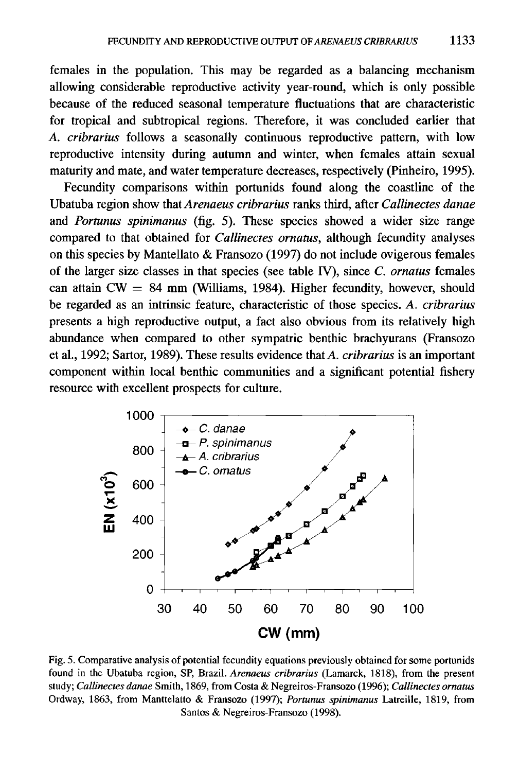females in the population. This may be regarded as a balancing mechanism allowing considerable reproductive activity year-round, which is only possible because of the reduced seasonal temperature fluctuations that are characteristic for tropical and subtropical regions. Therefore, it was concluded earlier that *A. cribrarius* follows a seasonally continuous reproductive pattern, with low reproductive intensity during autumn and winter, when females attain sexual maturity and mate, and water temperature decreases, respectively (Pinheiro, 1995).

Fecundity comparisons within portunids found along the coastline of the Ubatuba region show that *Arenaeus cribrarius* ranks third, after *Callinectes danae* and *Portunus spinimanus* (fig. 5). These species showed a wider size range compared to that obtained for *Callinectes ornatus,* although fecundity analyses on this species by Mantellato & Fransozo (1997) do not include ovigerous females of the larger size classes in that species (see table IV), since C. *ornatus* females can attain  $CW = 84$  mm (Williams, 1984). Higher fecundity, however, should be regarded as an intrinsic feature, characteristic of those species. *A. cribrarius* presents a high reproductive output, a fact also obvious from its relatively high abundance when compared to other sympatric benthic brachyurans (Fransozo et al., 1992; Sartor, 1989). These results evidence that *A. cribrarius* is an important component within local benthic communities and a significant potential fishery resource with excellent prospects for culture.



Fig. 5. Comparative analysis of potential fecundity equations previously obtained for some portunids found in the Ubatuba region, SP, Brazil. *Arenaeus cribrarius* (Lamarck, 1818), from the present study; *Callinectes danae* Smith, 1869, from Costa & Negreiros-Fransozo (1996); *Callinectes ornatus* Ordway, 1863, from Manttelatto & Fransozo (1997); *Portunus spinimanus* Latreille, 1819, from Santos & Negreiros-Fransozo (1998).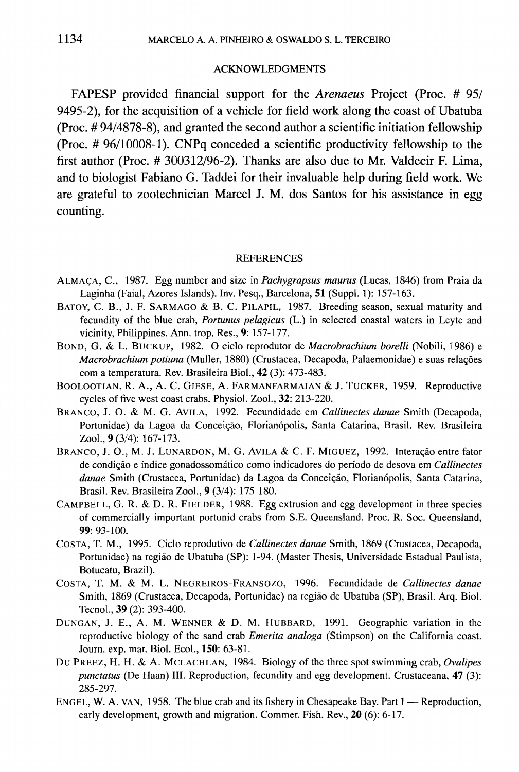#### ACKNOWLEDGMENTS

FAPESP provided financial support for the *Arenaeus* Project (Proc. # 95/ 9495-2), for the acquisition of a vehicle for field work along the coast of Ubatuba (Proc. # 94/4878-8), and granted the second author a scientific initiation fellowship (Proc. # 96/10008-1). CNPq conceded a scientific productivity fellowship to the first author (Proc. # 300312/96-2). Thanks are also due to Mr. Valdecir F. Lima, and to biologist Fabiano G. Taddei for their invaluable help during field work. We are grateful to zootechnician Marcel J. M. dos Santos for his assistance in egg counting.

#### **REFERENCES**

- ALMACA, C., 1987. Egg number and size in *Pachygrapsus maurus* (Lucas, 1846) from Praia da Laginha (Faial, Azores Islands). Inv. Pesq., Barcelona, 51 (Suppl. 1): 157-163.
- BATOY, C. B., J. F. SARMAGO & B. C. PILAPIL, 1987. Breeding season, sexual maturity and fecundity of the blue crab, *Portunus pelagicus* (L.) in selected coastal waters in Leyte and vicinity, Philippines. Ann. trop. Res., 9: 157-177.
- BOND, G. & L. BUCKUP, 1982. 0 cicIo reprodutor de *Macrobrachium borelli* (Nobili, 1986) e *Macrobrachium potiuna* (Muller, 1880) (Crustacea, Decapoda, Palaemonidae) e suas relag6es com a temperatura. Rev. Brasileira BioI., 42 (3): 473-483.
- BOOLOOTIAN, R. A., A. C. GIESE, A. FARMANFARMAIAN & J. TUCKER, 1959. Reproductive cycles of five west coast crabs. Physiol. Zool., 32: 213-220.
- BRANCO, J. O. & M. G. AVILA, 1992. Fecundidade em *Callinectes danae* Smith (Decapoda, Portunidae) da Lagoa da Conceição, Florianópolis, Santa Catarina, Brasil. Rev. Brasileira Zool., 9 (3/4): 167-173.
- BRANCO, J. O., M. J. LUNARDON, M. G. AVILA & C. F. MIGUEZ, 1992. Interação entre fator de condição e índice gonadossomático como indicadores do período de desova em *Callinectes* danae Smith (Crustacea, Portunidae) da Lagoa da Conceição, Florianópolis, Santa Catarina, Brasil. Rev. Brasileira Zool., 9 (3/4): 175-180.
- CAMPBELL, G. R. & D. R. FIELDER, 1988. Egg extrusion and egg development in three species of commercially important portunid crabs from S.E. Queensland. Proc. R. Soc. Queensland, 99: 93-100.
- COSTA, T. M., 1995. CicIo reprodutivo de *Callinectes danae* Smith, 1869 (Crustacea, Decapoda, Portunidae) na regiao de Ubatuba (SP): 1-94. (Master Thesis, Universidade Estadual Paulista, Botucatu, Brazil).
- COSTA, T. M. & M. L. NEGREIROS-FRANSOZO, 1996. Fecundidade de *Callinectes danae* Smith, 1869 (Crustacea, Decapoda, Portunidae) na regiao de Ubatuba (SP), Brasil. Arq. BioI. Tecnol., 39 (2): 393-400.
- DUNGAN, J. E., A. M. WENNER & D. M. HUBBARD, 1991. Geographic variation in the reproductive biology of the sand crab *Emerita analoga* (Stimpson) on the California coast. Journ. exp. mar. Biol. Ecol., 150: 63-81.
- Du PREEZ, H. H. & A. MCLACHLAN, 1984. Biology of the three spot swimming crab, *Ovalipes punctatus* (De Haan) III. Reproduction, fecundity and egg development. Crustaceana, 47 (3): 285-297.
- ENGEL, W. A. VAN, 1958. The blue crab and its fishery in Chesapeake Bay. Part  $1$  Reproduction, early development, growth and migration. Commer. Fish. Rev., 20 (6): 6-17.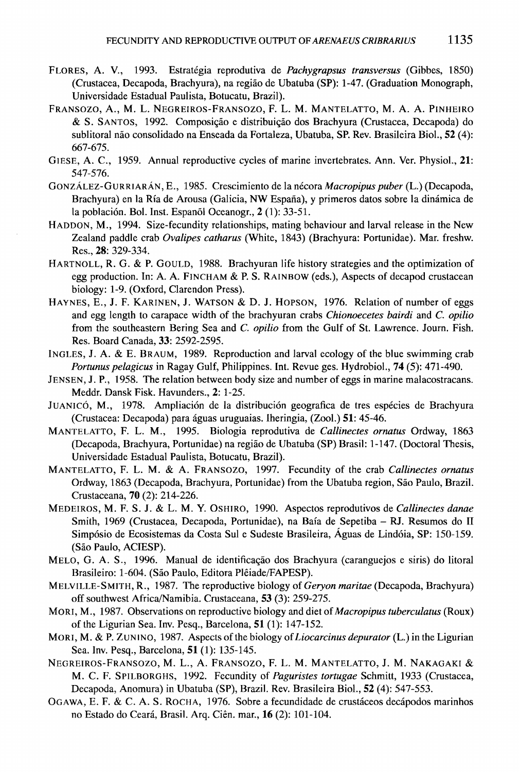- FLORES, A. V., 1993. Estrategia reprodutiva de *Pachygrapsus transversus* (Gibbes, 1850) (Crustacea, Decapoda, Brachyura), na regiao de Ubatuba (SP): 1-47. (Graduation Monograph, Universidade Estadual Paulista, Botucatu, Brazil).
- FRANSOZO, A., M. L. NEGREIROS-FRANSOZO, F. L. M. MANTELATTO, M. A. A. PINHEIRO & S. SANTOS, 1992. Composição e distribuição dos Brachyura (Crustacea, Decapoda) do sublitoral não consolidado na Enseada da Fortaleza, Ubatuba, SP. Rev. Brasileira Biol., 52 (4): 667-675.
- GIESE, A. C., 1959. Annual reproductive cycles of marine invertebrates. Ann. Ver. Physiol., 21: 547-576.
- GONzALEZ-GURRIARA.N, E., 1985. Crescimiento de la necora *Macropipus puber* (L.) (Decapoda, Brachyura) en la Ria de Arousa (Galicia, NW Espana), y primeros datos sobre la dinamica de la población. Bol. Inst. Espanől Oceanogr., 2 (1): 33-51.
- HADDON, M., 1994. Size-fecundity relationships, mating behaviour and larval release in the New Zealand paddle crab *Ovalipes catharus* (White, 1843) (Brachyura: Portunidae). Mar. freshw. Res., 28: 329-334.
- HARTNOLL, R. G. & P. GOULD, 1988. Brachyuran life history strategies and the optimization of egg production. In: A. A. FINCHAM & P. S. RAINBOW (eds.), Aspects of decapod crustacean biology: 1-9. (Oxford, Clarendon Press).
- HAYNES, E., J. F. KARINEN, J. WATSON & D. J. HOPSON, 1976. Relation of number of eggs and egg length to carapace width of the brachyuran crabs *Chionoecetes bairdi* and C. *opilio* from the southeastern Bering Sea and C. *opilio* from the Gulf of St. Lawrence. Journ. Fish. Res. Board Canada, 33: 2592-2595.
- INGLES, J. A. & E. BRAUM, 1989. Reproduction and larval ecology of the blue swimming crab *Portunus pelagicus* in Ragay Gulf, Philippines. Int. Revue ges. Hydrobiol., 74 (5): 471-490.
- JENSEN, J. P., 1958. The relation between body size and number of eggs in marine malacostracans. Meddr. Dansk Fisk. Havunders., 2: 1-25.
- JUANICÓ, M., 1978. Ampliación de la distribución geografica de tres espécies de Brachyura (Crustacea: Decapoda) para aguas uruguaias. Iheringia, (Zool.) 51: 45-46.
- MANTELATTO, F. L. M., 1995. Biologia reprodutiva de *Callinectes ornatus* Ordway, 1863 (Decapoda, Brachyura, Portunidae) na regiao de Ubatuba (SP) Brasil: 1-147. (Doctoral Thesis, Universidade Estadual Paulista, Botucatu, Brazil).
- MANTELATTO, F. L. M. & A. FRANSOZO, 1997. Fecundity of the crab *Callinectes ornatus* Ordway, 1863 (Decapoda, Brachyura, Portunidae) from the Ubatuba region, São Paulo, Brazil. Crustaceana, 70 (2): 214-226.
- MEDEIROS, M. F. S. J. & L. M. Y. OSHIRO, 1990. Aspectos reprodutivos de *Callinectes danae* Smith, 1969 (Crustacea, Decapoda, Portunidae), na Baia de Sepetiba - RJ. Resumos do II Simp6sio de Ecosistemas da Costa SuI e Sudeste Brasileira, Aguas de Lind6ia, SP: 150-159. (Sao Paulo, ACIESP).
- MELO, G. A. S., 1996. Manual de identificação dos Brachyura (caranguejos e siris) do litoral Brasileiro: 1-604. (São Paulo, Editora Plêiade/FAPESP).
- MELVILLE-SMITH, R., 1987. The reproductive biology of *Geryon maritae* (Decapoda, Brachyura) off southwest Africa/Namibia. Crustaceana, 53 (3): 259-275.
- MORI, M., 1987. Observations on reproductive biology and diet of*Macropipus tuberculatus* (Roux) of the Ligurian Sea. Inv. Pesq., Barcelona, 51 (1): 147-152.
- MORI, M. & P. ZUN INO, 1987. Aspects ofthe biology *ofLiocarcinus depurator* (L.) in the Ligurian Sea. Inv. Pesq., Barcelona, 51 (1): 135-145.
- NEGREIROS-FRANSOZO, M. L., A. FRANSOZO, F. L. M. MANTELATTO, J. M. NAKAGAKI & M. C. F. SPILBORGHS, 1992. Fecundity of *Paguristes tortugae* Schmitt, 1933 (Crustacea, Decapoda, Anomura) in Ubatuba (SP), Brazil. Rev. Brasileira BioI., 52 (4): 547-553.
- OGAWA, E. F. & C. A. S. ROCHA, 1976. Sobre a fecundidade de crustaceos decapodos marinhos no Estado do Ceara, Brasil. Arq. Cien. mar., 16 (2): 101-104.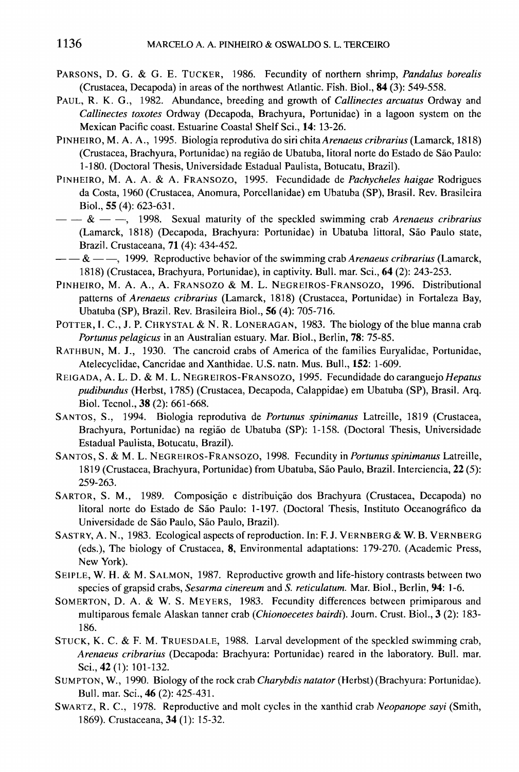- PARSONS, D. G. & G. E. TUCKER, 1986. Fecundity of northern shrimp, *Pandalus borealis* (Crustacea, Decapoda) in areas of the northwest Atlantic. Fish. Biol., 84 (3): 549-558.
- PAUL, R. K. G., 1982. Abundance, breeding and growth of *Callinectes arcuatus* Ordway and *Callinectes toxotes* Ordway (Decapoda, Brachyura, Portunidae) in a lagoon system on the Mexican Pacific coast. Estuarine Coastal Shelf Sci., 14: 13-26.
- PINHEIRO, M. A. A., 1995. Biologia reprodutiva do siri *chitaArenaeus cribrarius* (Lamarck, 1818) (Crustacea, Brachyura, Portunidae) na regiao de Ubatuba, litoral norte do Estado de Sao Paulo: 1-180. (Doctoral Thesis, Universidade Estadual Paulista, Botucatu, Brazil).
- PINHEIRO, M. A. A. & A. FRANSOZO, 1995. Fecundidade de *Pachycheles haigae* Rodrigues da Costa, 1960 (Crustacea, Anomura, Porcellanidae) em Ubatuba (SP), Brasil. Rev. Brasileira BioI., 55 (4): 623-631.
- $\&$   $-$ , 1998. Sexual maturity of the speckled swimming crab *Arenaeus cribrarius* (Lamarck, 1818) (Decapoda, Brachyura: Portunidae) in Ubatuba littoral, São Paulo state, Brazil. Crustaceana, 71 (4): 434-452.
- $- \& -$ , 1999. Reproductive behavior of the swimming crab *Arenaeus cribrarius* (Lamarck, 1818) (Crustacea, Brachyura, Portunidae), in captivity. Bull. mar. Sci., 64 (2): 243-253.
- PINHEIRO, M. A. A., A. FRANSOZO & M. L. NEGREIROS-FRANSOZO, 1996. Distributional patterns of *Arenaeus cribrarius* (Lamarck, 1818) (Crustacea, Portunidae) in Fortaleza Bay, Ubatuba (SP), Brazil. Rev. Brasileira BioI., 56 (4): 705-716.
- POTTER, I. C., J. P. CHRYSTAL & N. R. LONERAGAN, 1983. The biology of the blue manna crab *Portunus pelagicus* in an Australian estuary. Mar. BioI., Berlin, 78: 75-85.
- RATHBUN, M. J., 1930. The cancroid crabs of America of the families Euryalidae, Portunidae, Atelecyclidae, Cancridae and Xanthidae. U.S. natn. Mus. Bull., 152: 1-609.
- REIGADA, A. L. D. & M. L. NEGREIROS-FRANSOZO, 1995. Fecundidade do caranguejo Hepatus *pudibundus* (Herbst, 1785) (Crustacea, Decapoda, Calappidae) em Ubatuba (SP), Brasil. Arq. BioI. Tecno!., 38 (2): 661-668.
- SANTOS, S., 1994. Biologia reprodutiva de *Portunus spinimanus* Latreille, 1819 (Crustacea, Brachyura, Portunidae) na regiao de Ubatuba (SP): 1-158. (Doctoral Thesis, Universidade Estadual Paulista, Botucatu, Brazil).
- SANTOS, S. & M. L. NEGREIROS-FRANSOZO, 1998. Fecundity in *Portunus spinimanus* Latreille, 1819 (Crustacea, Brachyura, Portunidae) from Ubatuba, São Paulo, Brazil. Interciencia, 22 (5): 259-263.
- SARTOR, S. M., 1989. Composição e distribuição dos Brachyura (Crustacea, Decapoda) no litoral norte do Estado de São Paulo: 1-197. (Doctoral Thesis, Instituto Oceanográfico da Universidade de São Paulo, São Paulo, Brazil).
- SASTRY, A. N., 1983. Ecological aspects of reproduction. In: F. J. VERNBERG & W. B. VERNBERG (eds.), The biology of Crustacea, 8, Environmental adaptations: 179-270. (Academic Press, New York).
- SEIPLE, W. H. & M. SALMON, 1987. Reproductive growth and life-history contrasts between two species of grapsid crabs, *Sesarma cinereum* and S. *reticulatum.* Mar. BioI., Berlin, 94: 1-6.
- SOMERTON, D. A. & W. S. MEYERS, 1983. Fecundity differences between primiparous and multiparous female Alaskan tanner crab *(Chionoecetes bairdi)*. Journ. Crust. Biol., 3 (2): 183-186.
- STUCK, K. C. & F. M. TRUESDALE, 1988. Larval development of the speckled swimming crab, *Arenaeus cribrarius* (Decapoda: Brachyura: Portunidae) reared in the laboratory. Bull. mar. Sci., 42 (1): 101-132.
- SUMPTON, W., 1990. Biology of the rock crab *Charybdis natator* (Herbst) (Brachyura: Portunidae). Bull. mar. Sci., 46 (2): 425-431.
- SWARTZ, R. C., 1978. Reproductive and molt cycles in the xanthid crab *Neopanope sayi* (Smith, 1869). Crustaceana, 34 (1): 15-32.